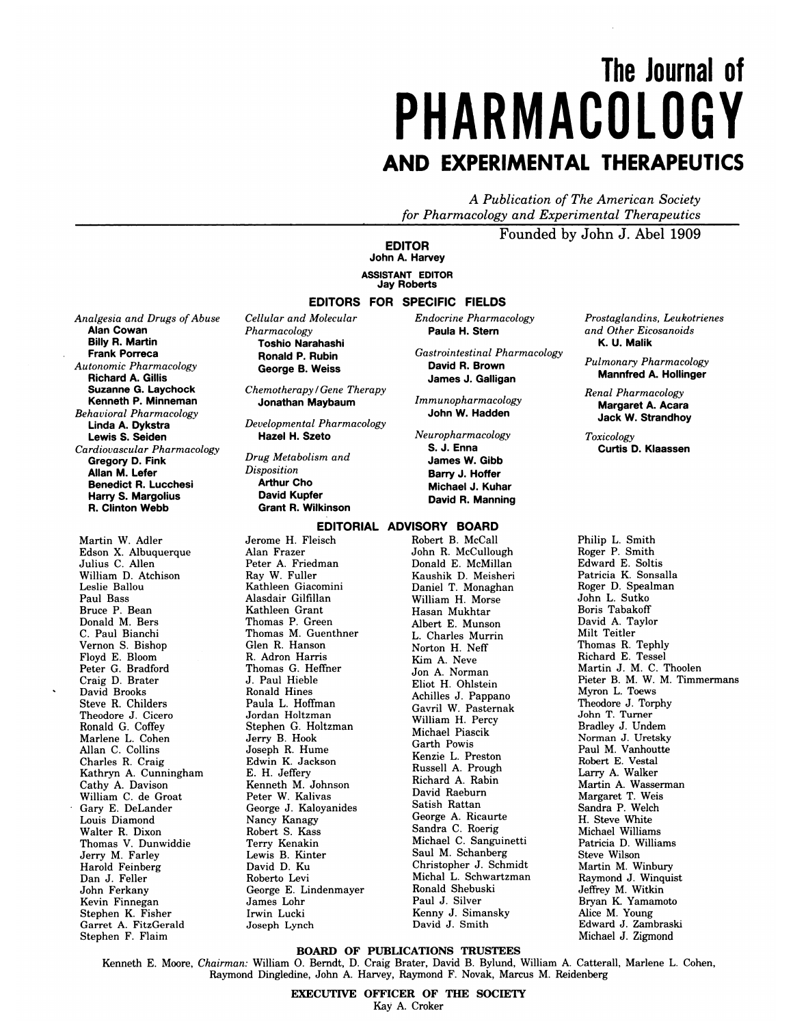# **The Journal of PHARMACOLOGY AND EXPERIMENTAL THERAPEUTICS**

*A Publication of The American Society for Pharmacology and Experimental Therapeutics*

Founded by John J. Abel 1909

**EDITOR John A. Harvey ASSISTANT EDITOR Jay Roberts**

### **EDITORS FOR SPECIFIC FIELDS**

*Analgesia and Drugs of Abuse* **Alan Cowan Billy R. Martin Frank Porreca** *Autonomic Pharmacology* **Richard A. Gillis Suzanne G. Laychock Kenneth P. Minneman** *Behavioral Pharmacology* **Linda A. Dykstra Lewis S.** Seiden *Cardiovascular Pharmacology* Gregory D. Fink **Allan M. Lefer Benedict R. Lucchesi**

**Harry S. Margolius R. Clinton Webb**

Martin W. Adler Edson X. Albuquerque Julius C. Allen William D. Atchison Leslie Ballou Paul Bass Bruce P. Bean Donald M. Bers C. Paul Bianchi Vernon S. Bishop Floyd E. Bloom Peter G. Bradford Craig D. Brater David Brooks Steve R. Childers Theodore J. Cicero Ronald G. Coffey Marlene L. Cohen Allan C. Collins Charles R. Craig Kathryn A. Cunningham Cathy A. Davison William C. de Groat Gary E. DeLander Louis Diamond Walter R. Dixon Thomas V. Dunwiddie Jerry M. Farley Harold Feinberg Dan J. Feller John Ferkany Kevin Finnegan Stephen K. Fisher Garret A. FitzGerald Stephen F. Flaim

*Cellular and Molecular Pharmacology* **Toshio Narahashi Ronald P. Rubin George B. Weiss**

*Chemotherapy/Gene Therapy* **Jonathan Maybaum**

*Developmental Pharmacology* **Hazel H. Szeto**

*Drug Metabolism and Disposition* **Arthur Cho David Kupfer Grant R. Wilkinson**

#### **EDITORIAL ADVISORY BOARD**

Jerome H. Fleisch Alan Frazer Peter A. Friedman Ray W. Fuller Kathleen Giacomini Alasdair Gilfillan Kathleen Grant Thomas P. Green Thomas M. Guenthner Glen R. Hanson R. Adron Harris Thomas G. Heffner J. Paul Hieble Ronald Hines Paula L. Hoffman Jordan Holtzman Stephen G. Holtzman Jerry B. Hook Joseph R. Hume Edwin K. Jackson E. H. Jeffery Kenneth M. Johnson Peter W. Kalivas George J. Kaloyanides Nancy Kanagy Robert S. Kass Terry Kenakin Lewis B. Kinter David D. Ku Roberto Levi George E. Lindenmayer James Lohr Irwin Lucki Joseph Lynch

**Paula H. Stern** *Gastrointestinal Pharmacology* **David R. Brown**

*Endocrine Pharmacology*

**James J. Galligan** *Immunopharmacology* **John W. Hadden**

*Neuropharmacology* **S. J. Enna James W. Gibb Barry J. Hoffer Michael J. Kuhar David R. Manning**

Robert B. McCall John R. McCullough Donald E. McMillan Kaushik D. Meisheri Daniel T. Monaghan William H. Morse Hasan Mukhtar Albert E. Munson L. Charles Murrin Norton H. Neff Kim A. Neve Jon A. Norman Eliot H. Ohlstein Achilles J. Pappano Gavril W. Pasternak William H. Percy Michael Piascik Garth Powis Kenzie L. Preston Russell A. Prough Richard A. Rabin David Raeburn Satish Rattan George A. Ricaurte Sandra C. Roerig Michael C. Sanguinet Saul M. Schanberg Christopher J. Schmidt Michal L. Schwartzman Ronald Shebuski Paul J. Silver Kenny J. Simansky David J. Smith

*Prostaglandins, Leukotrienes and Other Eicosanoids* **K. U. Malik**

*Pulmonary Pharmacology* **Mannfred A. Hollinger**

*Renal Pharmacology* **Margaret A. Acara Jack W.Strandhoy**

*Toxicology* **Curtis D.Klaassen**

Philip L. Smith Roger P. Smith Edward E. Soltis Patricia K. Sonsalla Roger D. Spealman John L. Sutko Boris Tabakoff David A. Taylor Milt Teitler Thomas R. Tephly Richard E. Tessel Martin J. M. C. Thoolen Pieter B. M. W. M. Timmermans Myron L. Toews Theodore J. Torphy John T. Turner Bradley J. Undem Norman J. Uretsky Paul M. Vanhoutte Robert E. Vestal Larry A. Walker Martin A. Wasserman Margaret T. Weis Sandra P. Welch H. Steve White Michael Williams Patricia D. Williams Steve Wilson Martin M. Winbury Raymond J. Winquist Jeffrey M. Witkin Bryan K. Yamamoto Alice M. Young Edward J. Zambraski Michael J. Zigmond

## BOARD OF PUBUCATIONS TRUSTEES

Kenneth E. Moore, *Chairman:* William 0. Berndt, D. Craig Brater, David B. Bylund, William A. Catterall, Marlene L. Cohen, Raymond Dingledine, John A. Harvey, Raymond F. Novak, Marcus M. Reidenberg